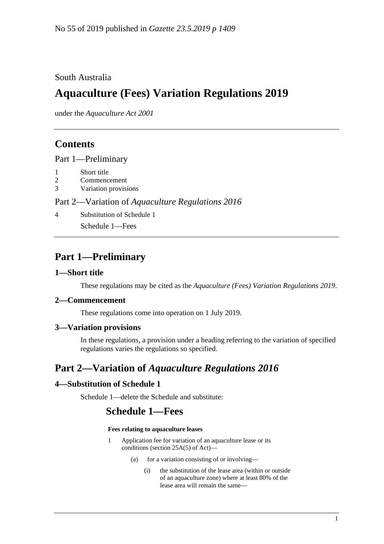## South Australia

# **Aquaculture (Fees) Variation Regulations 2019**

under the *Aquaculture Act 2001*

## **Contents**

Part [1—Preliminary](#page-0-0)

- 1 [Short title](#page-0-1)
- 2 [Commencement](#page-0-2)
- 3 [Variation provisions](#page-0-3)

#### Part 2—Variation of *[Aquaculture Regulations](#page-0-4) 2016*

4 [Substitution of Schedule 1](#page-0-5)

Schedule 1—Fees

## <span id="page-0-0"></span>**Part 1—Preliminary**

#### <span id="page-0-1"></span>**1—Short title**

These regulations may be cited as the *Aquaculture (Fees) Variation Regulations 2019*.

#### <span id="page-0-2"></span>**2—Commencement**

These regulations come into operation on 1 July 2019.

#### <span id="page-0-3"></span>**3—Variation provisions**

In these regulations, a provision under a heading referring to the variation of specified regulations varies the regulations so specified.

# <span id="page-0-4"></span>**Part 2—Variation of** *Aquaculture Regulations 2016*

### <span id="page-0-5"></span>**4—Substitution of Schedule 1**

Schedule 1—delete the Schedule and substitute:

# **Schedule 1—Fees**

#### **Fees relating to aquaculture leases**

- 1 Application fee for variation of an aquaculture lease or its conditions (section 25A(5) of Act)—
	- (a) for a variation consisting of or involving—
		- (i) the substitution of the lease area (within or outside of an aquaculture zone) where at least 80% of the lease area will remain the same—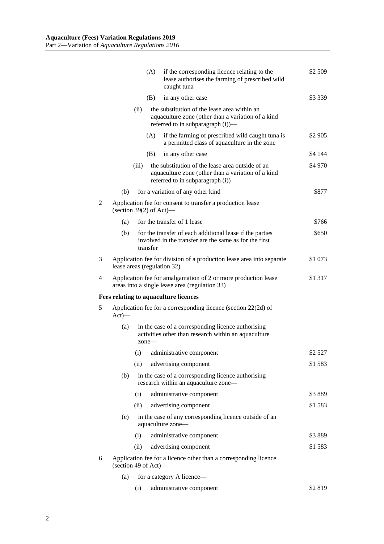|   |                                                                                       |                                                                                                                                                 | (A)                                                                                                             | if the corresponding licence relating to the<br>lease authorises the farming of prescribed wild<br>caught tuna                             | \$2 509   |  |  |
|---|---------------------------------------------------------------------------------------|-------------------------------------------------------------------------------------------------------------------------------------------------|-----------------------------------------------------------------------------------------------------------------|--------------------------------------------------------------------------------------------------------------------------------------------|-----------|--|--|
|   |                                                                                       |                                                                                                                                                 | (B)                                                                                                             | in any other case                                                                                                                          | \$3 3 3 9 |  |  |
|   |                                                                                       | the substitution of the lease area within an<br>(ii)<br>aquaculture zone (other than a variation of a kind<br>referred to in subparagraph (i))— |                                                                                                                 |                                                                                                                                            |           |  |  |
|   |                                                                                       |                                                                                                                                                 | (A)                                                                                                             | if the farming of prescribed wild caught tuna is<br>a permitted class of aquaculture in the zone                                           | \$2 905   |  |  |
|   |                                                                                       |                                                                                                                                                 | (B)                                                                                                             | in any other case                                                                                                                          | \$4 144   |  |  |
|   |                                                                                       | (iii)                                                                                                                                           |                                                                                                                 | the substitution of the lease area outside of an<br>aquaculture zone (other than a variation of a kind<br>referred to in subparagraph (i)) | \$4 970   |  |  |
|   | (b)                                                                                   |                                                                                                                                                 |                                                                                                                 | for a variation of any other kind                                                                                                          | \$877     |  |  |
| 2 | Application fee for consent to transfer a production lease<br>(section 39(2) of Act)— |                                                                                                                                                 |                                                                                                                 |                                                                                                                                            |           |  |  |
|   | (a)                                                                                   |                                                                                                                                                 |                                                                                                                 | for the transfer of 1 lease                                                                                                                | \$766     |  |  |
|   | (b)                                                                                   |                                                                                                                                                 | transfer                                                                                                        | for the transfer of each additional lease if the parties<br>involved in the transfer are the same as for the first                         | \$650     |  |  |
| 3 |                                                                                       |                                                                                                                                                 | Application fee for division of a production lease area into separate<br>\$1 073<br>lease areas (regulation 32) |                                                                                                                                            |           |  |  |
| 4 |                                                                                       |                                                                                                                                                 |                                                                                                                 | Application fee for amalgamation of 2 or more production lease<br>areas into a single lease area (regulation 33)                           | \$1 317   |  |  |
|   |                                                                                       |                                                                                                                                                 |                                                                                                                 | Fees relating to aquaculture licences                                                                                                      |           |  |  |
| 5 | Application fee for a corresponding licence (section 22(2d) of<br>$Act)$ —            |                                                                                                                                                 |                                                                                                                 |                                                                                                                                            |           |  |  |
|   | (a)                                                                                   | in the case of a corresponding licence authorising<br>activities other than research within an aquaculture<br>$zone-$                           |                                                                                                                 |                                                                                                                                            |           |  |  |
|   |                                                                                       | (i)                                                                                                                                             |                                                                                                                 | administrative component                                                                                                                   | \$2527    |  |  |
|   |                                                                                       | (ii)                                                                                                                                            |                                                                                                                 | advertising component                                                                                                                      | \$1583    |  |  |
|   | (b)                                                                                   |                                                                                                                                                 |                                                                                                                 | in the case of a corresponding licence authorising<br>research within an aquaculture zone-                                                 |           |  |  |
|   |                                                                                       | (i)                                                                                                                                             |                                                                                                                 | administrative component                                                                                                                   | \$3889    |  |  |
|   |                                                                                       | (ii)                                                                                                                                            |                                                                                                                 | advertising component                                                                                                                      | \$1583    |  |  |
|   | (c)                                                                                   |                                                                                                                                                 |                                                                                                                 | in the case of any corresponding licence outside of an<br>aquaculture zone-                                                                |           |  |  |
|   |                                                                                       | (i)                                                                                                                                             |                                                                                                                 | administrative component                                                                                                                   | \$3889    |  |  |
|   |                                                                                       | (ii)                                                                                                                                            |                                                                                                                 | advertising component                                                                                                                      | \$1583    |  |  |
| 6 |                                                                                       | Application fee for a licence other than a corresponding licence<br>(section 49 of Act)—                                                        |                                                                                                                 |                                                                                                                                            |           |  |  |
|   | (a)                                                                                   |                                                                                                                                                 |                                                                                                                 | for a category A licence-                                                                                                                  |           |  |  |
|   |                                                                                       | (i)                                                                                                                                             |                                                                                                                 | administrative component                                                                                                                   | \$2819    |  |  |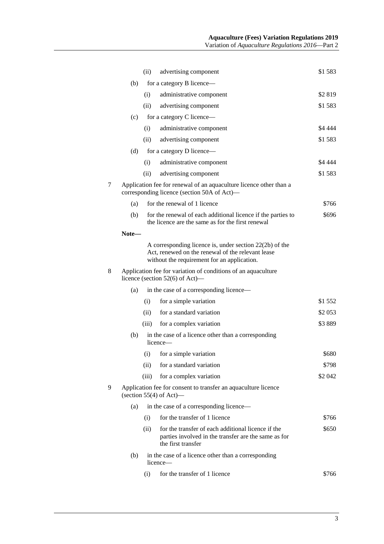|   |                                                                                                                   | (ii)                                                            | advertising component                                                                                                                                         | \$1583  |  |  |  |  |
|---|-------------------------------------------------------------------------------------------------------------------|-----------------------------------------------------------------|---------------------------------------------------------------------------------------------------------------------------------------------------------------|---------|--|--|--|--|
|   | (b)                                                                                                               |                                                                 | for a category B licence—                                                                                                                                     |         |  |  |  |  |
|   |                                                                                                                   | (i)                                                             | administrative component                                                                                                                                      | \$2819  |  |  |  |  |
|   |                                                                                                                   | (ii)                                                            | advertising component                                                                                                                                         | \$1583  |  |  |  |  |
|   | (c)                                                                                                               |                                                                 | for a category C licence—                                                                                                                                     |         |  |  |  |  |
|   |                                                                                                                   | (i)                                                             | administrative component                                                                                                                                      | \$4 444 |  |  |  |  |
|   |                                                                                                                   | (ii)                                                            | advertising component                                                                                                                                         | \$1583  |  |  |  |  |
|   | (d)                                                                                                               |                                                                 | for a category D licence—                                                                                                                                     |         |  |  |  |  |
|   |                                                                                                                   | (i)                                                             | administrative component                                                                                                                                      | \$4 444 |  |  |  |  |
|   |                                                                                                                   | (ii)                                                            | advertising component                                                                                                                                         | \$1583  |  |  |  |  |
| 7 | Application fee for renewal of an aquaculture licence other than a<br>corresponding licence (section 50A of Act)— |                                                                 |                                                                                                                                                               |         |  |  |  |  |
|   | (a)                                                                                                               |                                                                 | for the renewal of 1 licence                                                                                                                                  | \$766   |  |  |  |  |
|   | (b)                                                                                                               |                                                                 | for the renewal of each additional licence if the parties to<br>the licence are the same as for the first renewal                                             | \$696   |  |  |  |  |
|   | Note—                                                                                                             |                                                                 |                                                                                                                                                               |         |  |  |  |  |
|   |                                                                                                                   |                                                                 | A corresponding licence is, under section $22(2b)$ of the<br>Act, renewed on the renewal of the relevant lease<br>without the requirement for an application. |         |  |  |  |  |
| 8 | Application fee for variation of conditions of an aquaculture<br>licence (section $52(6)$ of Act)—                |                                                                 |                                                                                                                                                               |         |  |  |  |  |
|   | (a)                                                                                                               |                                                                 | in the case of a corresponding licence—                                                                                                                       |         |  |  |  |  |
|   |                                                                                                                   | (i)                                                             | for a simple variation                                                                                                                                        | \$1 552 |  |  |  |  |
|   |                                                                                                                   | (ii)                                                            | for a standard variation                                                                                                                                      | \$2 053 |  |  |  |  |
|   |                                                                                                                   | (iii)                                                           | for a complex variation                                                                                                                                       | \$3889  |  |  |  |  |
|   | (b)                                                                                                               | in the case of a licence other than a corresponding<br>licence— |                                                                                                                                                               |         |  |  |  |  |
|   |                                                                                                                   | (i)                                                             | for a simple variation                                                                                                                                        | \$680   |  |  |  |  |
|   |                                                                                                                   | (ii)                                                            | for a standard variation                                                                                                                                      | \$798   |  |  |  |  |
|   |                                                                                                                   | (iii)                                                           | for a complex variation                                                                                                                                       | \$2 042 |  |  |  |  |
| 9 | Application fee for consent to transfer an aquaculture licence<br>(section $55(4)$ of Act)—                       |                                                                 |                                                                                                                                                               |         |  |  |  |  |
|   | (a)                                                                                                               |                                                                 | in the case of a corresponding licence—                                                                                                                       |         |  |  |  |  |
|   |                                                                                                                   | (i)                                                             | for the transfer of 1 licence                                                                                                                                 | \$766   |  |  |  |  |
|   |                                                                                                                   | (ii)                                                            | for the transfer of each additional licence if the<br>parties involved in the transfer are the same as for<br>the first transfer                              | \$650   |  |  |  |  |
|   | (b)                                                                                                               |                                                                 | in the case of a licence other than a corresponding<br>licence—                                                                                               |         |  |  |  |  |
|   |                                                                                                                   | (i)                                                             | for the transfer of 1 licence                                                                                                                                 | \$766   |  |  |  |  |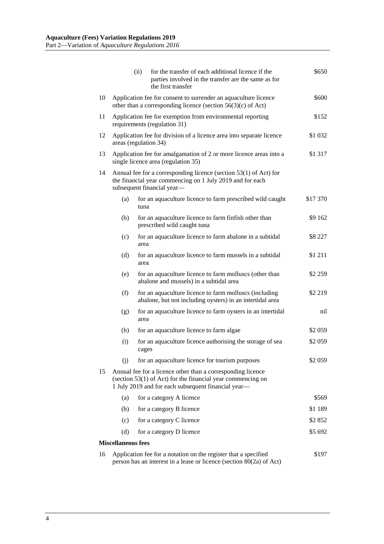|    |                                                                                                                                                                                     | for the transfer of each additional licence if the<br>(ii)<br>parties involved in the transfer are the same as for<br>the first transfer | \$650    |  |  |  |
|----|-------------------------------------------------------------------------------------------------------------------------------------------------------------------------------------|------------------------------------------------------------------------------------------------------------------------------------------|----------|--|--|--|
| 10 |                                                                                                                                                                                     | Application fee for consent to surrender an aquaculture licence<br>other than a corresponding licence (section $56(3)(c)$ of Act)        |          |  |  |  |
| 11 | Application fee for exemption from environmental reporting<br>requirements (regulation 31)                                                                                          |                                                                                                                                          |          |  |  |  |
| 12 | Application fee for division of a licence area into separate licence<br>areas (regulation 34)                                                                                       |                                                                                                                                          |          |  |  |  |
| 13 | Application fee for amalgamation of 2 or more licence areas into a<br>\$1 317<br>single licence area (regulation 35)                                                                |                                                                                                                                          |          |  |  |  |
| 14 | Annual fee for a corresponding licence (section 53(1) of Act) for<br>the financial year commencing on 1 July 2019 and for each<br>subsequent financial year-                        |                                                                                                                                          |          |  |  |  |
|    | (a)                                                                                                                                                                                 | for an aquaculture licence to farm prescribed wild caught<br>tuna                                                                        | \$17 370 |  |  |  |
|    | (b)                                                                                                                                                                                 | for an aquaculture licence to farm finfish other than<br>prescribed wild caught tuna                                                     | \$9 162  |  |  |  |
|    | (c)                                                                                                                                                                                 | for an aquaculture licence to farm abalone in a subtidal<br>area                                                                         | \$8 227  |  |  |  |
|    | (d)                                                                                                                                                                                 | for an aquaculture licence to farm mussels in a subtidal<br>area                                                                         | \$1 211  |  |  |  |
|    | (e)                                                                                                                                                                                 | for an aquaculture licence to farm molluscs (other than<br>abalone and mussels) in a subtidal area                                       | \$2 259  |  |  |  |
|    | (f)                                                                                                                                                                                 | for an aquaculture licence to farm molluscs (including<br>abalone, but not including oysters) in an intertidal area                      | \$2 219  |  |  |  |
|    | (g)                                                                                                                                                                                 | for an aquaculture licence to farm oysters in an intertidal<br>area                                                                      | nil      |  |  |  |
|    | (h)                                                                                                                                                                                 | for an aquaculture licence to farm algae                                                                                                 | \$2 059  |  |  |  |
|    | (i)                                                                                                                                                                                 | for an aquaculture licence authorising the storage of sea<br>cages                                                                       | \$2 059  |  |  |  |
|    | (i)                                                                                                                                                                                 | for an aquaculture licence for tourism purposes                                                                                          | \$2 059  |  |  |  |
| 15 | Annual fee for a licence other than a corresponding licence<br>(section $53(1)$ of Act) for the financial year commencing on<br>1 July 2019 and for each subsequent financial year- |                                                                                                                                          |          |  |  |  |
|    | (a)                                                                                                                                                                                 | for a category A licence                                                                                                                 | \$569    |  |  |  |
|    | (b)                                                                                                                                                                                 | for a category B licence                                                                                                                 | \$1 189  |  |  |  |
|    | (c)                                                                                                                                                                                 | for a category C licence                                                                                                                 | \$2 852  |  |  |  |
|    | (d)                                                                                                                                                                                 | for a category D licence                                                                                                                 | \$5 692  |  |  |  |
|    | <b>Miscellaneous fees</b>                                                                                                                                                           |                                                                                                                                          |          |  |  |  |
| 16 | Application fee for a notation on the register that a specified<br>\$197<br>person has an interest in a lease or licence (section 80(2a) of Act)                                    |                                                                                                                                          |          |  |  |  |